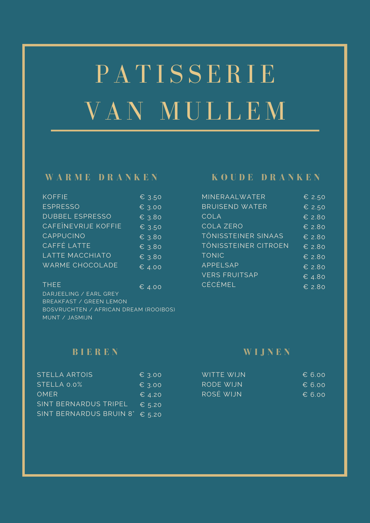# PATISSERIE VAN MULLEM

### **W A R M E D R A N K E N**

| <b>KOFFIE</b>              | € 3.50          |
|----------------------------|-----------------|
| <b>ESPRESSO</b>            | € 3.00          |
| <b>DUBBEL ESPRESSO</b>     | € 3.80          |
| <b>CAFEINEVRIJE KOFFIE</b> | € 3.50          |
| CAPPUCINO                  | $\epsilon$ 3.80 |
| CAFFÉ LATTE                | € 3.80          |
| LATTE MACCHIATO            | € 3.80          |
| <b>WARME CHOCOLADE</b>     | 64.00           |

| THFF.                                 | $\epsilon$ 4.00 |
|---------------------------------------|-----------------|
| DARJEELING / EARL GREY                |                 |
| BREAKFAST / GREEN LEMON               |                 |
| BOSVRUCHTEN / AFRICAN DREAM (ROOIBOS) |                 |
| MUNT / JASMIJN                        |                 |

## **K O U D E D R A N K E N**

| MINERAALWATER              | € 2.50                     |
|----------------------------|----------------------------|
| <b>BRUISEND WATER</b>      | € 2.50                     |
| COLA                       | $E$ 2.80                   |
| <b>COLA ZERO</b>           | $E$ 2.80                   |
| <b>TÖNISSTEINER SINAAS</b> | $E$ 2.80                   |
| TÖNISSTEINER CITROEN       | $E$ 2.80                   |
| <b>TONIC</b>               | $\epsilon$ 2.80            |
| APPELSAP                   | $\epsilon$ 2.80            |
| <b>VERS FRUITSAP</b>       | $\overline{\epsilon}$ 4.80 |
| <b>CÉCÉMEL</b>             | $\epsilon$ 2.80            |

## **B I E R E N**

| <b>STELLA ARTOIS</b>    | $\epsilon$ 3.00 |
|-------------------------|-----------------|
| STELLA 0.0%             | $\epsilon$ 3.00 |
| <b>OMER</b>             | $\epsilon$ 4.20 |
| SINT BERNARDUS TRIPEL   | $E$ 5.20        |
| SINT BERNARDUS BRUIN 8° | $E$ 5.20        |

#### **W I J N E N**

| WITTE WIJN | $\epsilon$ 6.00 |
|------------|-----------------|
| RODE WIJN  | $\epsilon$ 6.00 |
| ROSÉ WIJN  | $\epsilon$ 6.00 |